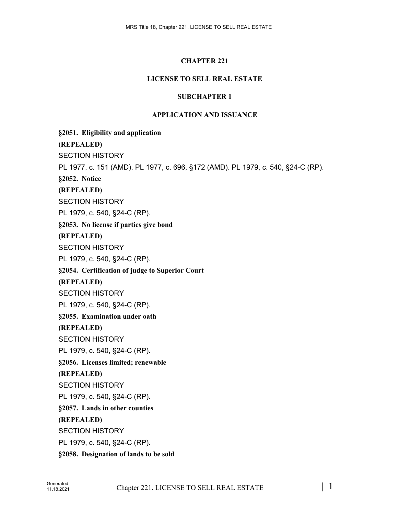# **CHAPTER 221**

# **LICENSE TO SELL REAL ESTATE**

## **SUBCHAPTER 1**

## **APPLICATION AND ISSUANCE**

**§2051. Eligibility and application (REPEALED)** SECTION HISTORY PL 1977, c. 151 (AMD). PL 1977, c. 696, §172 (AMD). PL 1979, c. 540, §24-C (RP). **§2052. Notice (REPEALED)** SECTION HISTORY PL 1979, c. 540, §24-C (RP). **§2053. No license if parties give bond (REPEALED)** SECTION HISTORY PL 1979, c. 540, §24-C (RP). **§2054. Certification of judge to Superior Court (REPEALED)** SECTION HISTORY PL 1979, c. 540, §24-C (RP). **§2055. Examination under oath (REPEALED)** SECTION HISTORY PL 1979, c. 540, §24-C (RP). **§2056. Licenses limited; renewable (REPEALED)** SECTION HISTORY PL 1979, c. 540, §24-C (RP). **§2057. Lands in other counties (REPEALED)** SECTION HISTORY PL 1979, c. 540, §24-C (RP). **§2058. Designation of lands to be sold**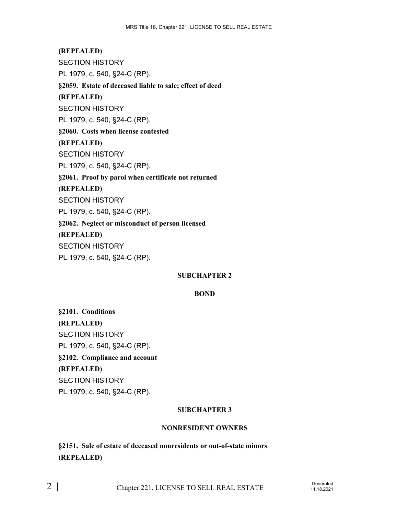**(REPEALED)** SECTION HISTORY PL 1979, c. 540, §24-C (RP). **§2059. Estate of deceased liable to sale; effect of deed (REPEALED)** SECTION HISTORY PL 1979, c. 540, §24-C (RP). **§2060. Costs when license contested (REPEALED)** SECTION HISTORY PL 1979, c. 540, §24-C (RP). **§2061. Proof by parol when certificate not returned (REPEALED)** SECTION HISTORY PL 1979, c. 540, §24-C (RP). **§2062. Neglect or misconduct of person licensed (REPEALED)** SECTION HISTORY PL 1979, c. 540, §24-C (RP).

# **SUBCHAPTER 2**

## **BOND**

**§2101. Conditions (REPEALED)** SECTION HISTORY PL 1979, c. 540, §24-C (RP). **§2102. Compliance and account (REPEALED)** SECTION HISTORY PL 1979, c. 540, §24-C (RP).

# **SUBCHAPTER 3**

## **NONRESIDENT OWNERS**

**§2151. Sale of estate of deceased nonresidents or out-of-state minors (REPEALED)**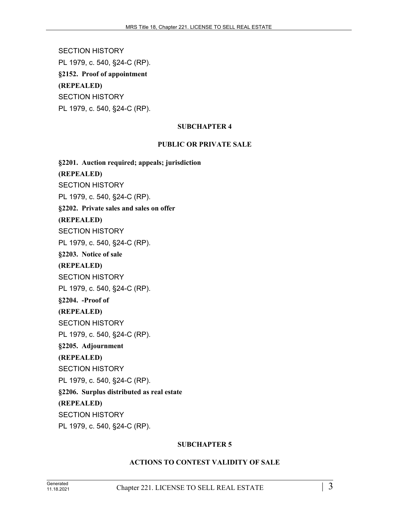SECTION HISTORY PL 1979, c. 540, §24-C (RP). **§2152. Proof of appointment (REPEALED)** SECTION HISTORY PL 1979, c. 540, §24-C (RP).

## **SUBCHAPTER 4**

### **PUBLIC OR PRIVATE SALE**

**§2201. Auction required; appeals; jurisdiction (REPEALED)** SECTION HISTORY PL 1979, c. 540, §24-C (RP). **§2202. Private sales and sales on offer (REPEALED)** SECTION HISTORY PL 1979, c. 540, §24-C (RP). **§2203. Notice of sale (REPEALED)** SECTION HISTORY PL 1979, c. 540, §24-C (RP). **§2204. -Proof of (REPEALED)** SECTION HISTORY PL 1979, c. 540, §24-C (RP). **§2205. Adjournment (REPEALED)** SECTION HISTORY PL 1979, c. 540, §24-C (RP). **§2206. Surplus distributed as real estate (REPEALED)** SECTION HISTORY PL 1979, c. 540, §24-C (RP).

#### **SUBCHAPTER 5**

## **ACTIONS TO CONTEST VALIDITY OF SALE**